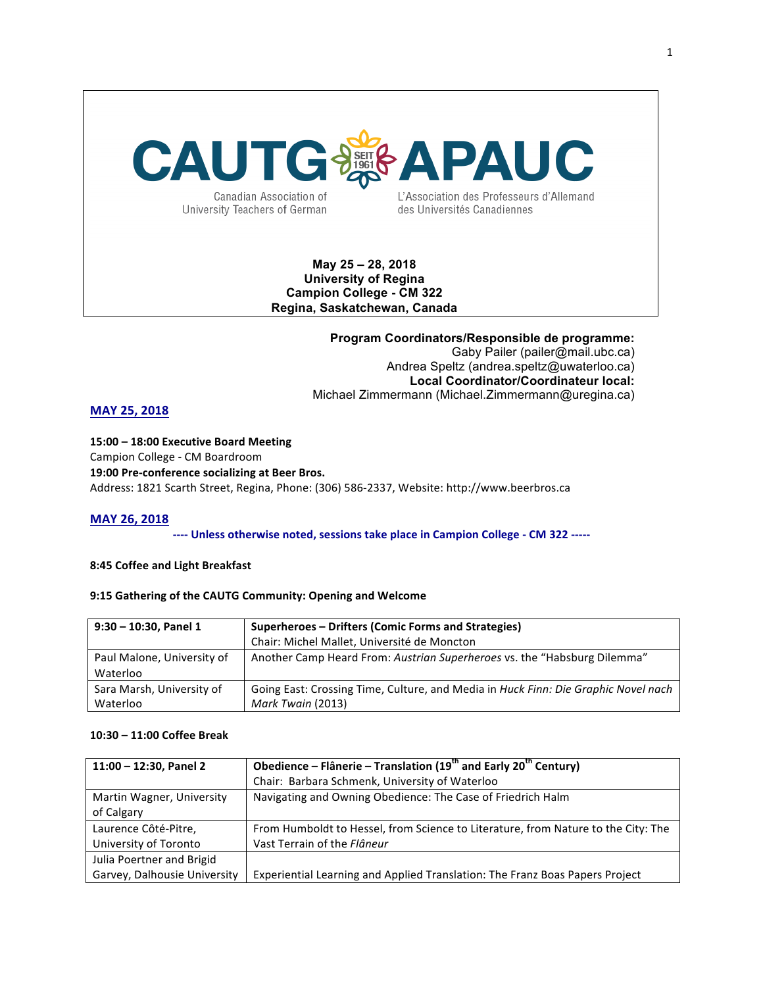# **CAUTG&&BAI** PAUC

Canadian Association of University Teachers of German L'Association des Professeurs d'Allemand des Universités Canadiennes

### **May 25 – 28, 2018 University of Regina Campion College - CM 322 Regina, Saskatchewan, Canada**

**Program Coordinators/Responsible de programme:** Gaby Pailer (pailer@mail.ubc.ca) Andrea Speltz (andrea.speltz@uwaterloo.ca) **Local Coordinator/Coordinateur local:** Michael Zimmermann (Michael.Zimmermann@uregina.ca)

### **MAY 25, 2018**

**15:00 – 18:00 Executive Board Meeting** Campion College - CM Boardroom **19:00 Pre-conference socializing at Beer Bros.** Address: 1821 Scarth Street, Regina, Phone: (306) 586-2337, Website: http://www.beerbros.ca

#### **MAY 26, 2018**

---- Unless otherwise noted, sessions take place in Campion College - CM 322 -----

#### **8:45 Coffee and Light Breakfast**

#### 9:15 Gathering of the CAUTG Community: Opening and Welcome

| $9:30 - 10:30$ , Panel 1   | Superheroes – Drifters (Comic Forms and Strategies)                                |
|----------------------------|------------------------------------------------------------------------------------|
|                            | Chair: Michel Mallet, Université de Moncton                                        |
| Paul Malone, University of | Another Camp Heard From: Austrian Superheroes vs. the "Habsburg Dilemma"           |
| Waterloo                   |                                                                                    |
| Sara Marsh, University of  | Going East: Crossing Time, Culture, and Media in Huck Finn: Die Graphic Novel nach |
| Waterloo                   | Mark Twain (2013)                                                                  |

#### **10:30 – 11:00 Coffee Break**

| $11:00 - 12:30$ , Panel 2    | Obedience - Flânerie - Translation (19 <sup>th</sup> and Early 20 <sup>th</sup> Century) |
|------------------------------|------------------------------------------------------------------------------------------|
|                              | Chair: Barbara Schmenk, University of Waterloo                                           |
| Martin Wagner, University    | Navigating and Owning Obedience: The Case of Friedrich Halm                              |
| of Calgary                   |                                                                                          |
| Laurence Côté-Pitre,         | From Humboldt to Hessel, from Science to Literature, from Nature to the City: The        |
| University of Toronto        | Vast Terrain of the Flâneur                                                              |
| Julia Poertner and Brigid    |                                                                                          |
| Garvey, Dalhousie University | Experiential Learning and Applied Translation: The Franz Boas Papers Project             |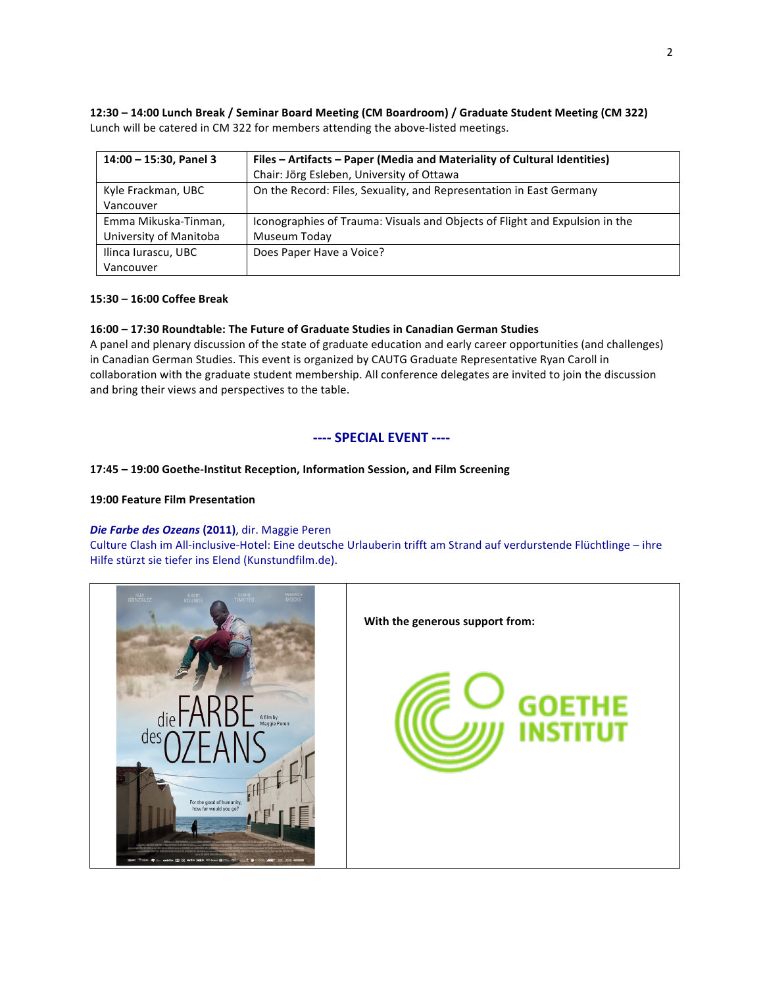**12:30 – 14:00 Lunch Break / Seminar Board Meeting (CM Boardroom) / Graduate Student Meeting (CM 322)** Lunch will be catered in CM 322 for members attending the above-listed meetings.

| 14:00 - 15:30, Panel 3 | Files - Artifacts - Paper (Media and Materiality of Cultural Identities)    |
|------------------------|-----------------------------------------------------------------------------|
|                        | Chair: Jörg Esleben, University of Ottawa                                   |
| Kyle Frackman, UBC     | On the Record: Files, Sexuality, and Representation in East Germany         |
| Vancouver              |                                                                             |
| Emma Mikuska-Tinman,   | Iconographies of Trauma: Visuals and Objects of Flight and Expulsion in the |
| University of Manitoba | Museum Today                                                                |
| Ilinca Iurascu, UBC    | Does Paper Have a Voice?                                                    |
| Vancouver              |                                                                             |

#### **15:30 – 16:00 Coffee Break**

#### **16:00 – 17:30 Roundtable: The Future of Graduate Studies in Canadian German Studies**

A panel and plenary discussion of the state of graduate education and early career opportunities (and challenges) in Canadian German Studies. This event is organized by CAUTG Graduate Representative Ryan Caroll in collaboration with the graduate student membership. All conference delegates are invited to join the discussion and bring their views and perspectives to the table.

#### **---- SPECIAL EVENT ----**

#### **17:45 – 19:00 Goethe-Institut Reception, Information Session, and Film Screening**

#### **19:00 Feature Film Presentation**

#### *Die Farbe des Ozeans* **(2011)**, dir. Maggie Peren

Culture Clash im All-inclusive-Hotel: Eine deutsche Urlauberin trifft am Strand auf verdurstende Flüchtlinge – ihre Hilfe stürzt sie tiefer ins Elend (Kunstundfilm.de).

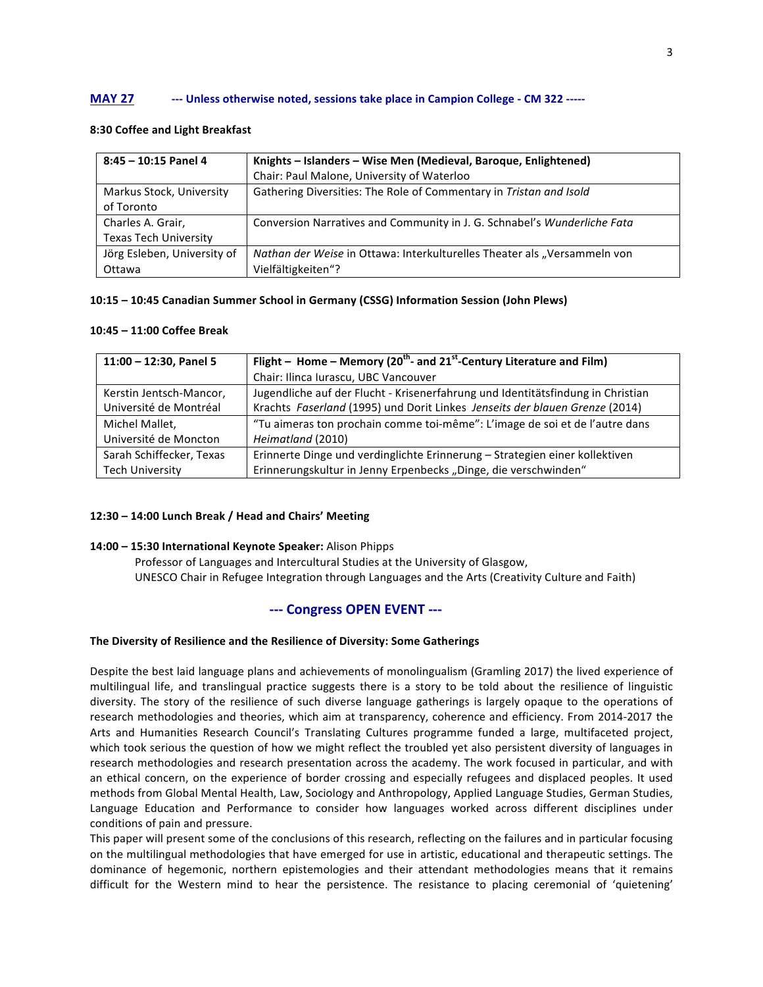#### **MAY 27** --- Unless otherwise noted, sessions take place in Campion College - CM 322 -----

#### **8:30 Coffee and Light Breakfast**

| $8:45 - 10:15$ Panel 4       | Knights - Islanders - Wise Men (Medieval, Baroque, Enlightened)          |
|------------------------------|--------------------------------------------------------------------------|
|                              | Chair: Paul Malone, University of Waterloo                               |
| Markus Stock, University     | Gathering Diversities: The Role of Commentary in Tristan and Isold       |
| of Toronto                   |                                                                          |
| Charles A. Grair,            | Conversion Narratives and Community in J. G. Schnabel's Wunderliche Fata |
| <b>Texas Tech University</b> |                                                                          |
| Jörg Esleben, University of  | Nathan der Weise in Ottawa: Interkulturelles Theater als "Versammeln von |
| Ottawa                       | Vielfältigkeiten"?                                                       |

#### **10:15 - 10:45 Canadian Summer School in Germany (CSSG) Information Session (John Plews)**

#### **10:45 – 11:00 Coffee Break**

| 11:00 - 12:30, Panel 5   | Flight – Home – Memory (20 <sup>th</sup> - and 21 <sup>st</sup> -Century Literature and Film) |
|--------------------------|-----------------------------------------------------------------------------------------------|
|                          | Chair: Ilinca Iurascu, UBC Vancouver                                                          |
| Kerstin Jentsch-Mancor,  | Jugendliche auf der Flucht - Krisenerfahrung und Identitätsfindung in Christian               |
| Université de Montréal   | Krachts Faserland (1995) und Dorit Linkes Jenseits der blauen Grenze (2014)                   |
| Michel Mallet,           | "Tu aimeras ton prochain comme toi-même": L'image de soi et de l'autre dans                   |
| Université de Moncton    | Heimatland (2010)                                                                             |
| Sarah Schiffecker, Texas | Erinnerte Dinge und verdinglichte Erinnerung - Strategien einer kollektiven                   |
| <b>Tech University</b>   | Erinnerungskultur in Jenny Erpenbecks "Dinge, die verschwinden"                               |

#### **12:30 – 14:00 Lunch Break / Head and Chairs' Meeting**

#### **14:00 – 15:30 International Keynote Speaker:** Alison Phipps

Professor of Languages and Intercultural Studies at the University of Glasgow, UNESCO Chair in Refugee Integration through Languages and the Arts (Creativity Culture and Faith)

#### --- **Congress OPEN EVENT** ---

#### The Diversity of Resilience and the Resilience of Diversity: Some Gatherings

Despite the best laid language plans and achievements of monolingualism (Gramling 2017) the lived experience of multilingual life, and translingual practice suggests there is a story to be told about the resilience of linguistic diversity. The story of the resilience of such diverse language gatherings is largely opaque to the operations of research methodologies and theories, which aim at transparency, coherence and efficiency. From 2014-2017 the Arts and Humanities Research Council's Translating Cultures programme funded a large, multifaceted project, which took serious the question of how we might reflect the troubled yet also persistent diversity of languages in research methodologies and research presentation across the academy. The work focused in particular, and with an ethical concern, on the experience of border crossing and especially refugees and displaced peoples. It used methods from Global Mental Health, Law, Sociology and Anthropology, Applied Language Studies, German Studies, Language Education and Performance to consider how languages worked across different disciplines under conditions of pain and pressure.

This paper will present some of the conclusions of this research, reflecting on the failures and in particular focusing on the multilingual methodologies that have emerged for use in artistic, educational and therapeutic settings. The dominance of hegemonic, northern epistemologies and their attendant methodologies means that it remains difficult for the Western mind to hear the persistence. The resistance to placing ceremonial of 'quietening'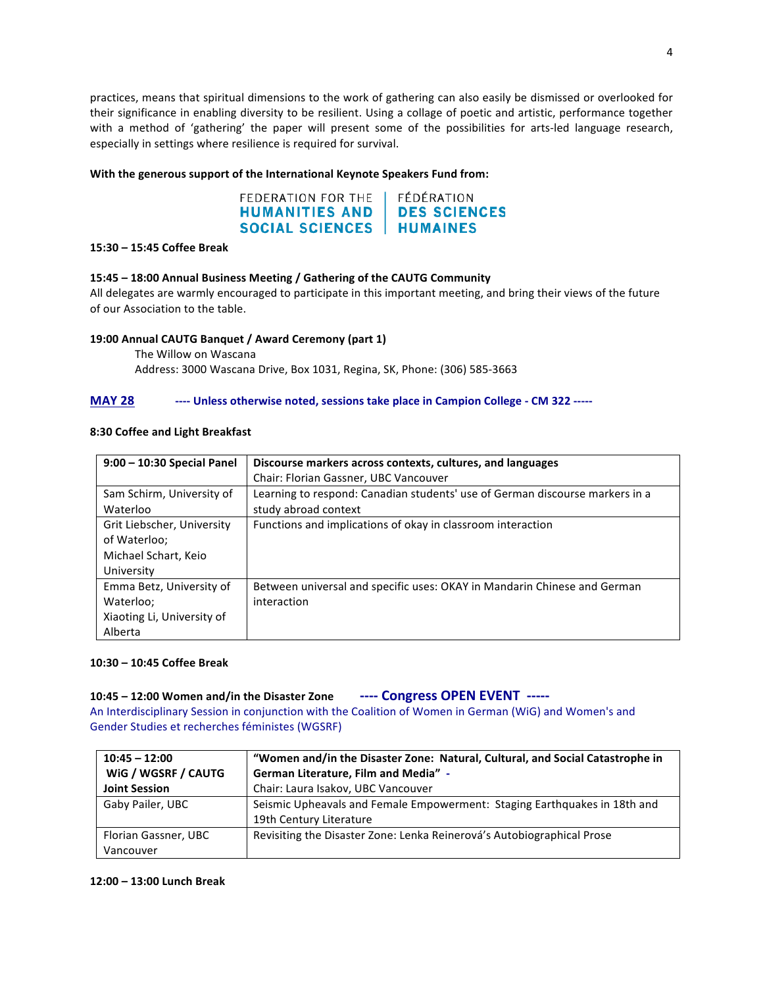practices, means that spiritual dimensions to the work of gathering can also easily be dismissed or overlooked for their significance in enabling diversity to be resilient. Using a collage of poetic and artistic, performance together with a method of 'gathering' the paper will present some of the possibilities for arts-led language research, especially in settings where resilience is required for survival.

#### With the generous support of the International Keynote Speakers Fund from:

#### FEDERATION FOR THE FÉDÉRATION **DES SCIENCES HUMANITIES AND SOCIAL SCIENCES | HUMAINES**

#### **15:30 – 15:45 Coffee Break**

#### **15:45 – 18:00 Annual Business Meeting / Gathering of the CAUTG Community**

All delegates are warmly encouraged to participate in this important meeting, and bring their views of the future of our Association to the table.

#### **19:00 Annual CAUTG Banquet / Award Ceremony (part 1)**

The Willow on Wascana Address: 3000 Wascana Drive, Box 1031, Regina, SK, Phone: (306) 585-3663

#### **MAY 28 ---- Unless otherwise noted, sessions take place in Campion College - CM 322 -----**

#### **8:30 Coffee and Light Breakfast**

| 9:00 - 10:30 Special Panel                                                       | Discourse markers across contexts, cultures, and languages                                           |
|----------------------------------------------------------------------------------|------------------------------------------------------------------------------------------------------|
|                                                                                  | Chair: Florian Gassner, UBC Vancouver                                                                |
| Sam Schirm, University of<br>Waterloo                                            | Learning to respond: Canadian students' use of German discourse markers in a<br>study abroad context |
| Grit Liebscher, University<br>of Waterloo;<br>Michael Schart, Keio<br>University | Functions and implications of okay in classroom interaction                                          |
| Emma Betz, University of<br>Waterloo;<br>Xiaoting Li, University of<br>Alberta   | Between universal and specific uses: OKAY in Mandarin Chinese and German<br>interaction              |

#### **10:30 – 10:45 Coffee Break**

## 10:45 - 12:00 Women and/in the Disaster Zone **Lacker Learness OPEN EVENT** -----

An Interdisciplinary Session in conjunction with the Coalition of Women in German (WiG) and Women's and Gender Studies et recherches féministes (WGSRF)

| $10:45 - 12:00$      | "Women and/in the Disaster Zone: Natural, Cultural, and Social Catastrophe in |
|----------------------|-------------------------------------------------------------------------------|
| WIG / WGSRF / CAUTG  | German Literature, Film and Media" -                                          |
| <b>Joint Session</b> | Chair: Laura Isakov, UBC Vancouver                                            |
| Gaby Pailer, UBC     | Seismic Upheavals and Female Empowerment: Staging Earthquakes in 18th and     |
|                      | 19th Century Literature                                                       |
| Florian Gassner, UBC | Revisiting the Disaster Zone: Lenka Reinerová's Autobiographical Prose        |
| Vancouver            |                                                                               |

#### **12:00 – 13:00 Lunch Break**